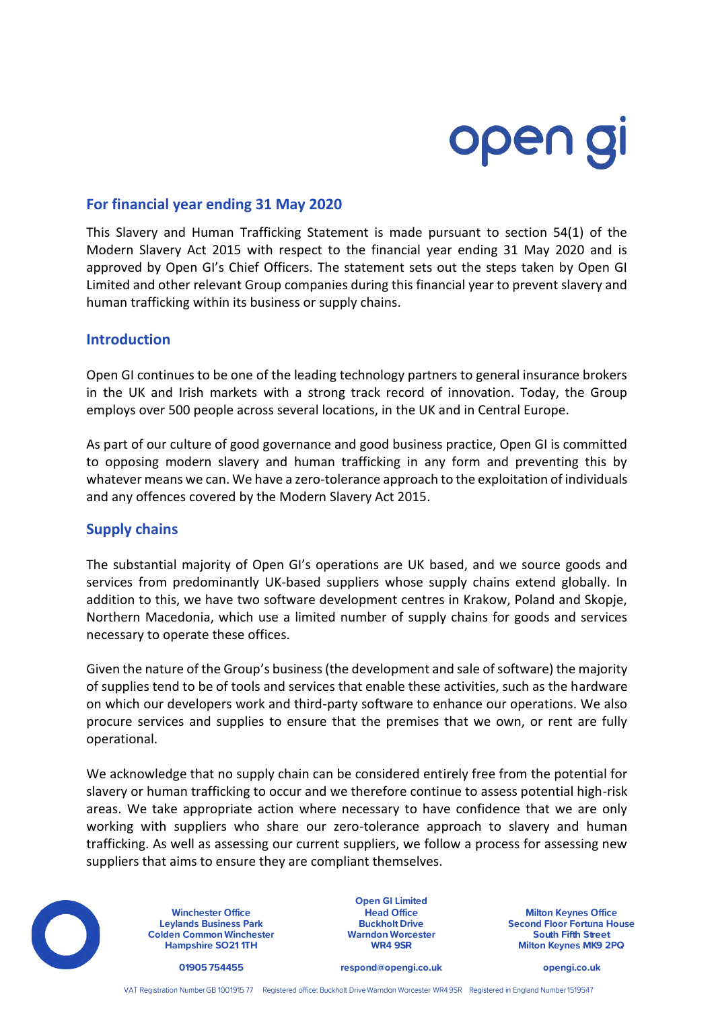# open gi

# **For financial year ending 31 May 2020**

This Slavery and Human Trafficking Statement is made pursuant to section 54(1) of the Modern Slavery Act 2015 with respect to the financial year ending 31 May 2020 and is approved by Open GI's Chief Officers. The statement sets out the steps taken by Open GI Limited and other relevant Group companies during this financial year to prevent slavery and human trafficking within its business or supply chains.

## **Introduction**

Open GI continues to be one of the leading technology partners to general insurance brokers in the UK and Irish markets with a strong track record of innovation. Today, the Group employs over 500 people across several locations, in the UK and in Central Europe.

As part of our culture of good governance and good business practice, Open GI is committed to opposing modern slavery and human trafficking in any form and preventing this by whatever means we can. We have a zero-tolerance approach to the exploitation of individuals and any offences covered by the Modern Slavery Act 2015.

### **Supply chains**

The substantial majority of Open GI's operations are UK based, and we source goods and services from predominantly UK-based suppliers whose supply chains extend globally. In addition to this, we have two software development centres in Krakow, Poland and Skopje, Northern Macedonia, which use a limited number of supply chains for goods and services necessary to operate these offices.

Given the nature of the Group's business (the development and sale of software) the majority of supplies tend to be of tools and services that enable these activities, such as the hardware on which our developers work and third-party software to enhance our operations. We also procure services and supplies to ensure that the premises that we own, or rent are fully operational.

We acknowledge that no supply chain can be considered entirely free from the potential for slavery or human trafficking to occur and we therefore continue to assess potential high-risk areas. We take appropriate action where necessary to have confidence that we are only working with suppliers who share our zero-tolerance approach to slavery and human trafficking. As well as assessing our current suppliers, we follow a process for assessing new suppliers that aims to ensure they are compliant themselves.



**Winchester Office Leylands Business Park Colden Common Winchester Hampshire SO211TH** 

**Open GI Limited Head Office Buckholt Drive Warndon Worcester** WR4 9SR

**Milton Keynes Office Second Floor Fortuna House South Fifth Street** Milton Keynes MK9 2PQ

01905 754455

respond@opengi.co.uk